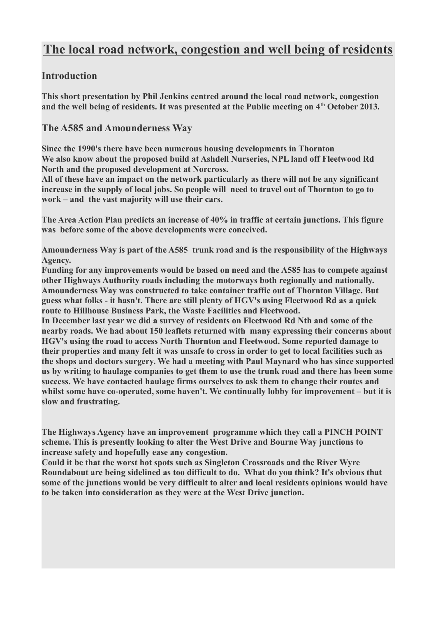# **The local road network, congestion and well being of residents**

#### **Introduction**

**This short presentation by Phil Jenkins centred around the local road network, congestion and the well being of residents. It was presented at the Public meeting on 4th October 2013.**

#### **The A585 and Amounderness Way**

**Since the 1990's there have been numerous housing developments in Thornton We also know about the proposed build at Ashdell Nurseries, NPL land off Fleetwood Rd North and the proposed development at Norcross.**

**All of these have an impact on the network particularly as there will not be any significant increase in the supply of local jobs. So people will need to travel out of Thornton to go to work – and the vast majority will use their cars.**

**The Area Action Plan predicts an increase of 40% in traffic at certain junctions. This figure was before some of the above developments were conceived.**

**Amounderness Way is part of the A585 trunk road and is the responsibility of the Highways Agency.** 

**Funding for any improvements would be based on need and the A585 has to compete against other Highways Authority roads including the motorways both regionally and nationally. Amounderness Way was constructed to take container traffic out of Thornton Village. But guess what folks - it hasn't. There are still plenty of HGV's using Fleetwood Rd as a quick route to Hillhouse Business Park, the Waste Facilities and Fleetwood.**

**In December last year we did a survey of residents on Fleetwood Rd Nth and some of the nearby roads. We had about 150 leaflets returned with many expressing their concerns about HGV's using the road to access North Thornton and Fleetwood. Some reported damage to their properties and many felt it was unsafe to cross in order to get to local facilities such as the shops and doctors surgery. We had a meeting with Paul Maynard who has since supported us by writing to haulage companies to get them to use the trunk road and there has been some success. We have contacted haulage firms ourselves to ask them to change their routes and whilst some have co-operated, some haven't. We continually lobby for improvement – but it is slow and frustrating.**

**The Highways Agency have an improvement programme which they call a PINCH POINT scheme. This is presently looking to alter the West Drive and Bourne Way junctions to increase safety and hopefully ease any congestion.**

**Could it be that the worst hot spots such as Singleton Crossroads and the River Wyre Roundabout are being sidelined as too difficult to do. What do you think? It's obvious that some of the junctions would be very difficult to alter and local residents opinions would have to be taken into consideration as they were at the West Drive junction.**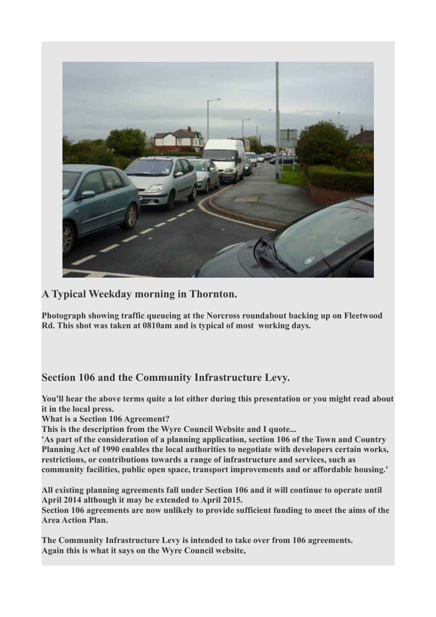

# **A Typical Weekday morning in Thornton.**

**Photograph showing traffic queueing at the Norcross roundabout backing up on Fleetwood Rd. This shot was taken at 0810am and is typical of most working days.** 

# **Section 106 and the Community Infrastructure Levy.**

**You'll hear the above terms quite a lot either during this presentation or you might read about it in the local press.**

**What is a Section 106 Agreement?**

**This is the description from the Wyre Council Website and I quote...**

**'As part of the consideration of a planning application, section 106 of the Town and Country Planning Act of 1990 enables the local authorities to negotiate with developers certain works, restrictions, or contributions towards a range of infrastructure and services, such as community facilities, public open space, transport improvements and or affordable housing.'**

**All existing planning agreements fall under Section 106 and it will continue to operate until April 2014 although it may be extended to April 2015.**

**Section 106 agreements are now unlikely to provide sufficient funding to meet the aims of the Area Action Plan.**

**The Community Infrastructure Levy is intended to take over from 106 agreements. Again this is what it says on the Wyre Council website,**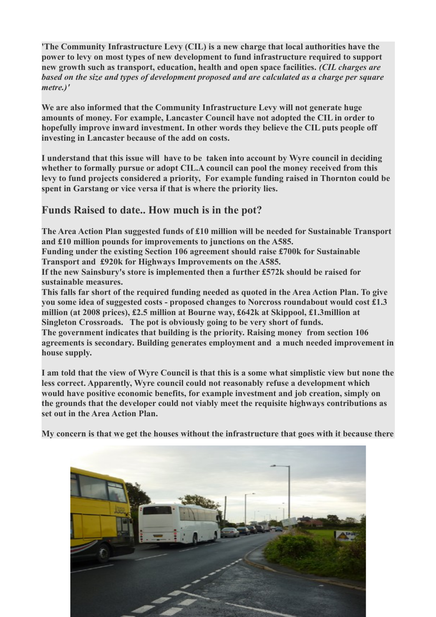**'The Community Infrastructure Levy (CIL) is a new charge that local authorities have the power to levy on most types of new development to fund infrastructure required to support new growth such as transport, education, health and open space facilities.** *(CIL charges are based on the size and types of development proposed and are calculated as a charge per square metre.)'*

**We are also informed that the Community Infrastructure Levy will not generate huge amounts of money. For example, Lancaster Council have not adopted the CIL in order to hopefully improve inward investment. In other words they believe the CIL puts people off investing in Lancaster because of the add on costs.**

**I understand that this issue will have to be taken into account by Wyre council in deciding whether to formally pursue or adopt CIL.A council can pool the money received from this levy to fund projects considered a priority, For example funding raised in Thornton could be spent in Garstang or vice versa if that is where the priority lies.**

#### **Funds Raised to date.. How much is in the pot?**

**The Area Action Plan suggested funds of £10 million will be needed for Sustainable Transport and £10 million pounds for improvements to junctions on the A585.**

**Funding under the existing Section 106 agreement should raise £700k for Sustainable Transport and £920k for Highways Improvements on the A585.**

**If the new Sainsbury's store is implemented then a further £572k should be raised for sustainable measures.**

**This falls far short of the required funding needed as quoted in the Area Action Plan. To give you some idea of suggested costs - proposed changes to Norcross roundabout would cost £1.3 million (at 2008 prices), £2.5 million at Bourne way, £642k at Skippool, £1.3million at Singleton Crossroads. The pot is obviously going to be very short of funds.**

**The government indicates that building is the priority. Raising money from section 106 agreements is secondary. Building generates employment and a much needed improvement in house supply.**

**I am told that the view of Wyre Council is that this is a some what simplistic view but none the less correct. Apparently, Wyre council could not reasonably refuse a development which would have positive economic benefits, for example investment and job creation, simply on the grounds that the developer could not viably meet the requisite highways contributions as set out in the Area Action Plan.**

**My concern is that we get the houses without the infrastructure that goes with it because there**

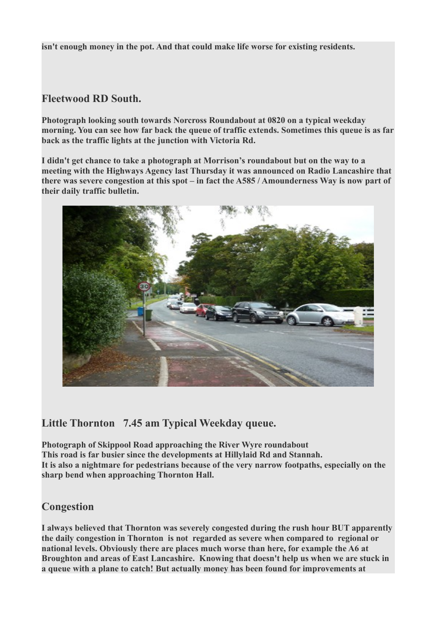**isn't enough money in the pot. And that could make life worse for existing residents.**

#### **Fleetwood RD South.**

**Photograph looking south towards Norcross Roundabout at 0820 on a typical weekday morning. You can see how far back the queue of traffic extends. Sometimes this queue is as far back as the traffic lights at the junction with Victoria Rd.**

**I didn't get chance to take a photograph at Morrison's roundabout but on the way to a meeting with the Highways Agency last Thursday it was announced on Radio Lancashire that there was severe congestion at this spot – in fact the A585 / Amounderness Way is now part of their daily traffic bulletin.**



### **Little Thornton 7.45 am Typical Weekday queue.**

**Photograph of Skippool Road approaching the River Wyre roundabout This road is far busier since the developments at Hillylaid Rd and Stannah. It is also a nightmare for pedestrians because of the very narrow footpaths, especially on the sharp bend when approaching Thornton Hall.**

### **Congestion**

**I always believed that Thornton was severely congested during the rush hour BUT apparently the daily congestion in Thornton is not regarded as severe when compared to regional or national levels. Obviously there are places much worse than here, for example the A6 at Broughton and areas of East Lancashire. Knowing that doesn't help us when we are stuck in a queue with a plane to catch! But actually money has been found for improvements at**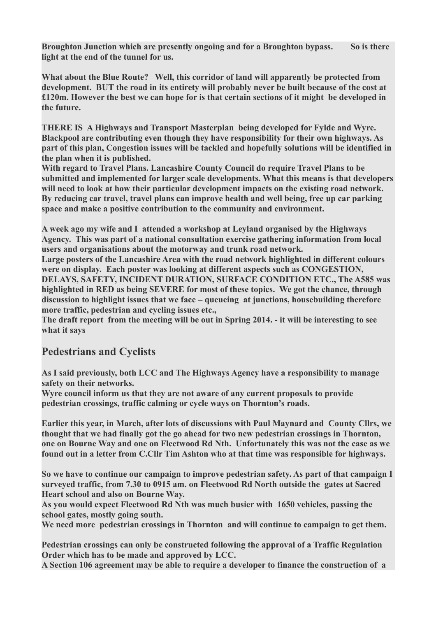**Broughton Junction which are presently ongoing and for a Broughton bypass. So is there light at the end of the tunnel for us.**

**What about the Blue Route? Well, this corridor of land will apparently be protected from development. BUT the road in its entirety will probably never be built because of the cost at £120m. However the best we can hope for is that certain sections of it might be developed in the future.**

**THERE IS A Highways and Transport Masterplan being developed for Fylde and Wyre. Blackpool are contributing even though they have responsibility for their own highways. As part of this plan, Congestion issues will be tackled and hopefully solutions will be identified in the plan when it is published.**

**With regard to Travel Plans. Lancashire County Council do require Travel Plans to be submitted and implemented for larger scale developments. What this means is that developers will need to look at how their particular development impacts on the existing road network. By reducing car travel, travel plans can improve health and well being, free up car parking space and make a positive contribution to the community and environment.**

**A week ago my wife and I attended a workshop at Leyland organised by the Highways Agency. This was part of a national consultation exercise gathering information from local users and organisations about the motorway and trunk road network.** 

**Large posters of the Lancashire Area with the road network highlighted in different colours were on display. Each poster was looking at different aspects such as CONGESTION, DELAYS, SAFETY, INCIDENT DURATION, SURFACE CONDITION ETC., The A585 was highlighted in RED as being SEVERE for most of these topics. We got the chance, through discussion to highlight issues that we face – queueing at junctions, housebuilding therefore more traffic, pedestrian and cycling issues etc.,**

**The draft report from the meeting will be out in Spring 2014. - it will be interesting to see what it says**

### **Pedestrians and Cyclists**

**As I said previously, both LCC and The Highways Agency have a responsibility to manage safety on their networks.** 

**Wyre council inform us that they are not aware of any current proposals to provide pedestrian crossings, traffic calming or cycle ways on Thornton's roads.**

**Earlier this year, in March, after lots of discussions with Paul Maynard and County Cllrs, we thought that we had finally got the go ahead for two new pedestrian crossings in Thornton, one on Bourne Way and one on Fleetwood Rd Nth. Unfortunately this was not the case as we found out in a letter from C.Cllr Tim Ashton who at that time was responsible for highways.** 

**So we have to continue our campaign to improve pedestrian safety. As part of that campaign I surveyed traffic, from 7.30 to 0915 am. on Fleetwood Rd North outside the gates at Sacred Heart school and also on Bourne Way.** 

**As you would expect Fleetwood Rd Nth was much busier with 1650 vehicles, passing the school gates, mostly going south.** 

**We need more pedestrian crossings in Thornton and will continue to campaign to get them.**

**Pedestrian crossings can only be constructed following the approval of a Traffic Regulation Order which has to be made and approved by LCC.**

**A Section 106 agreement may be able to require a developer to finance the construction of a**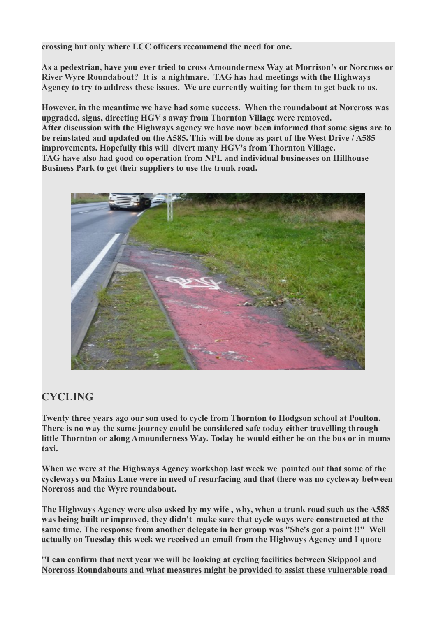**crossing but only where LCC officers recommend the need for one.** 

**As a pedestrian, have you ever tried to cross Amounderness Way at Morrison's or Norcross or River Wyre Roundabout? It is a nightmare. TAG has had meetings with the Highways Agency to try to address these issues. We are currently waiting for them to get back to us.** 

**However, in the meantime we have had some success. When the roundabout at Norcross was upgraded, signs, directing HGV s away from Thornton Village were removed. After discussion with the Highways agency we have now been informed that some signs are to be reinstated and updated on the A585. This will be done as part of the West Drive / A585 improvements. Hopefully this will divert many HGV's from Thornton Village. TAG have also had good co operation from NPL and individual businesses on Hillhouse Business Park to get their suppliers to use the trunk road.**



# **CYCLING**

**Twenty three years ago our son used to cycle from Thornton to Hodgson school at Poulton. There is no way the same journey could be considered safe today either travelling through little Thornton or along Amounderness Way. Today he would either be on the bus or in mums taxi.**

**When we were at the Highways Agency workshop last week we pointed out that some of the cycleways on Mains Lane were in need of resurfacing and that there was no cycleway between Norcross and the Wyre roundabout.** 

**The Highways Agency were also asked by my wife , why, when a trunk road such as the A585 was being built or improved, they didn't make sure that cycle ways were constructed at the same time. The response from another delegate in her group was ''She's got a point !!'' Well actually on Tuesday this week we received an email from the Highways Agency and I quote**

**''I can confirm that next year we will be looking at cycling facilities between Skippool and Norcross Roundabouts and what measures might be provided to assist these vulnerable road**